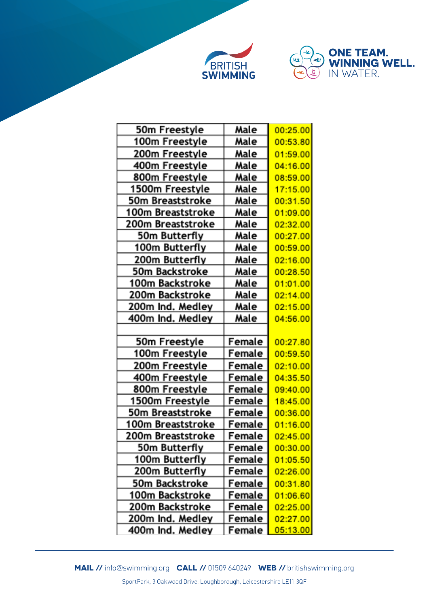



| 50m Freestyle                        | Male             | 00:25.00             |
|--------------------------------------|------------------|----------------------|
| 100m Freestyle                       | Male             | 00:53.80             |
| 200m Freestyle                       | Male             | 01:59.00             |
| 400m Freestyle                       | Male             | 04:16.00             |
| 800m Freestyle                       | Male             | 08:59.00             |
| 1500m Freestyle                      | Male             | 17:15.00             |
| 50m Breaststroke                     | Male             | 00:31.50             |
| 100m Breaststroke                    | Male             | 01:09.00             |
| 200m Breaststroke                    | Male             | 02:32.00             |
| 50m Butterfly                        | Male             | 00:27.00             |
| 100m Butterfly                       | Male             | 00:59.00             |
| 200m Butterfly                       | Male             | 02:16.00             |
| 50m Backstroke                       | Male             | 00:28.50             |
| 100m Backstroke                      | Male             | 01:01.00             |
| 200m Backstroke                      | Male             | 02:14.00             |
| 200m Ind. Medley                     | Male             | 02:15.00             |
| 400m Ind. Medley                     | Male             | 04:56.00             |
|                                      |                  |                      |
| 50m Freestyle                        | Female           | 00:27.80             |
| 100m Freestyle                       | Female           | 00:59.50             |
| 200m Freestyle                       | Female           | 02:10.00             |
| 400m Freestyle                       | Female           | 04:35.50             |
| 800m Freestyle                       | Female           | 09:40.00             |
| 1500m Freestyle                      | Female           | 18:45.00             |
| 50m Breaststroke                     | Female           | 00:36.00             |
| 100m Breaststroke                    | Female           | 01:16.00             |
| 200m Breaststroke                    | Female           | 02:45.00             |
| 50m Butterfly                        | Female           | 00:30.00             |
| 100m Butterfly                       | Female           | 01:05.50             |
| 200m Butterfly                       | Female           | 02:26.00             |
| 50m Backstroke                       | Female           | 00:31.80             |
| 100m Backstroke                      | Female           | 01:06.60             |
| 200m Backstroke                      |                  | 02:25.00             |
|                                      | Female           |                      |
| 200m Ind. Medley<br>400m Ind. Medley | Female<br>Female | 02:27.00<br>05:13.00 |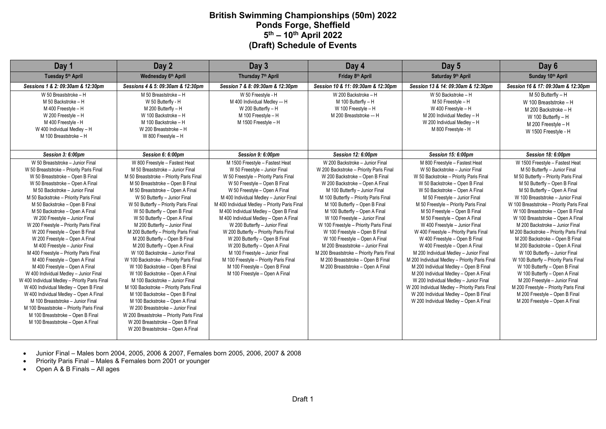# **British Swimming Championships (50m) 2022 Ponds Forge, Sheffield 5th – 10th April 2022 (Draft) Schedule of Events**

| Day 1                                                                                                                                                                                                                                                                                                                                                                                                                                                                                                                                                                                                                                                                                                                                                                                                                                                                                                                                            | Day 2                                                                                                                                                                                                                                                                                                                                                                                                                                                                                                                                                                                                                                                                                                                                                                                                                                                                                                                                                  | Day 3                                                                                                                                                                                                                                                                                                                                                                                                                                                                                                                                                                                                                                                       | Day 4                                                                                                                                                                                                                                                                                                                                                                                                                                                                                                                                                                                                        | Day 5                                                                                                                                                                                                                                                                                                                                                                                                                                                                                                                                                                                                                                                                                                                                                                                                                                      | Day 6                                                                                                                                                                                                                                                                                                                                                                                                                                                                                                                                                                                                                                                                                                                                                                                       |
|--------------------------------------------------------------------------------------------------------------------------------------------------------------------------------------------------------------------------------------------------------------------------------------------------------------------------------------------------------------------------------------------------------------------------------------------------------------------------------------------------------------------------------------------------------------------------------------------------------------------------------------------------------------------------------------------------------------------------------------------------------------------------------------------------------------------------------------------------------------------------------------------------------------------------------------------------|--------------------------------------------------------------------------------------------------------------------------------------------------------------------------------------------------------------------------------------------------------------------------------------------------------------------------------------------------------------------------------------------------------------------------------------------------------------------------------------------------------------------------------------------------------------------------------------------------------------------------------------------------------------------------------------------------------------------------------------------------------------------------------------------------------------------------------------------------------------------------------------------------------------------------------------------------------|-------------------------------------------------------------------------------------------------------------------------------------------------------------------------------------------------------------------------------------------------------------------------------------------------------------------------------------------------------------------------------------------------------------------------------------------------------------------------------------------------------------------------------------------------------------------------------------------------------------------------------------------------------------|--------------------------------------------------------------------------------------------------------------------------------------------------------------------------------------------------------------------------------------------------------------------------------------------------------------------------------------------------------------------------------------------------------------------------------------------------------------------------------------------------------------------------------------------------------------------------------------------------------------|--------------------------------------------------------------------------------------------------------------------------------------------------------------------------------------------------------------------------------------------------------------------------------------------------------------------------------------------------------------------------------------------------------------------------------------------------------------------------------------------------------------------------------------------------------------------------------------------------------------------------------------------------------------------------------------------------------------------------------------------------------------------------------------------------------------------------------------------|---------------------------------------------------------------------------------------------------------------------------------------------------------------------------------------------------------------------------------------------------------------------------------------------------------------------------------------------------------------------------------------------------------------------------------------------------------------------------------------------------------------------------------------------------------------------------------------------------------------------------------------------------------------------------------------------------------------------------------------------------------------------------------------------|
| Tuesday 5th April                                                                                                                                                                                                                                                                                                                                                                                                                                                                                                                                                                                                                                                                                                                                                                                                                                                                                                                                | Wednesday 6th April                                                                                                                                                                                                                                                                                                                                                                                                                                                                                                                                                                                                                                                                                                                                                                                                                                                                                                                                    | Thursday 7th April                                                                                                                                                                                                                                                                                                                                                                                                                                                                                                                                                                                                                                          | Friday 8th April                                                                                                                                                                                                                                                                                                                                                                                                                                                                                                                                                                                             | Saturday 9th April                                                                                                                                                                                                                                                                                                                                                                                                                                                                                                                                                                                                                                                                                                                                                                                                                         | Sunday 10th April                                                                                                                                                                                                                                                                                                                                                                                                                                                                                                                                                                                                                                                                                                                                                                           |
| Sessions 1 & 2: 09:30am & 12:30pm                                                                                                                                                                                                                                                                                                                                                                                                                                                                                                                                                                                                                                                                                                                                                                                                                                                                                                                | Sessions 4 & 5: 09:30am & 12:30pm                                                                                                                                                                                                                                                                                                                                                                                                                                                                                                                                                                                                                                                                                                                                                                                                                                                                                                                      | Session 7 & 8: 09:30am & 12:30pm                                                                                                                                                                                                                                                                                                                                                                                                                                                                                                                                                                                                                            | Session 10 & 11: 09:30am & 12:30pm                                                                                                                                                                                                                                                                                                                                                                                                                                                                                                                                                                           | Session 13 & 14: 09:30am & 12:30pm                                                                                                                                                                                                                                                                                                                                                                                                                                                                                                                                                                                                                                                                                                                                                                                                         | Session 16 & 17: 09:30am & 12:30pm                                                                                                                                                                                                                                                                                                                                                                                                                                                                                                                                                                                                                                                                                                                                                          |
| W 50 Breaststroke - H<br>M 50 Backstroke - H<br>M 400 Freestyle - H<br>W 200 Freestyle - H<br>M 400 Freestyle - H<br>W 400 Individual Medley - H<br>M 100 Breaststroke - H                                                                                                                                                                                                                                                                                                                                                                                                                                                                                                                                                                                                                                                                                                                                                                       | M 50 Breaststroke - H<br>W 50 Butterfly - H<br>M 200 Butterfly - H<br>W 100 Backstroke - H<br>M 100 Backstroke - H<br>W 200 Breaststroke - H<br>W 800 Freestyle - H                                                                                                                                                                                                                                                                                                                                                                                                                                                                                                                                                                                                                                                                                                                                                                                    | W 50 Freestyle - H<br>M 400 Individual Medley -- H<br>W 200 Butterfly - H<br>M 100 Freestvle - H<br>M 1500 Freestyle - H                                                                                                                                                                                                                                                                                                                                                                                                                                                                                                                                    | W 200 Backstroke - H<br>M 100 Butterfly - H<br>W 100 Freestyle - H<br>M 200 Breaststroke -- H                                                                                                                                                                                                                                                                                                                                                                                                                                                                                                                | W 50 Backstroke - H<br>M 50 Freestyle - H<br>W 400 Freestyle - H<br>M 200 Individual Medley - H<br>W 200 Individual Medley - H<br>M 800 Freestyle - H                                                                                                                                                                                                                                                                                                                                                                                                                                                                                                                                                                                                                                                                                      | M 50 Butterfly - H<br>W 100 Breaststroke - H<br>M 200 Backstroke - H<br>W 100 Butterfly - H<br>M 200 Freestyle - H<br>W 1500 Freestyle - H                                                                                                                                                                                                                                                                                                                                                                                                                                                                                                                                                                                                                                                  |
| Session 3: 6:00pm                                                                                                                                                                                                                                                                                                                                                                                                                                                                                                                                                                                                                                                                                                                                                                                                                                                                                                                                | Session 6: 6:00pm                                                                                                                                                                                                                                                                                                                                                                                                                                                                                                                                                                                                                                                                                                                                                                                                                                                                                                                                      | Session 9: 6:00pm                                                                                                                                                                                                                                                                                                                                                                                                                                                                                                                                                                                                                                           | Session 12: 6:00pm                                                                                                                                                                                                                                                                                                                                                                                                                                                                                                                                                                                           | Session 15: 6:00pm                                                                                                                                                                                                                                                                                                                                                                                                                                                                                                                                                                                                                                                                                                                                                                                                                         | Session 18: 6:00pm                                                                                                                                                                                                                                                                                                                                                                                                                                                                                                                                                                                                                                                                                                                                                                          |
| W 50 Breaststroke - Junior Final<br>W 50 Breaststroke - Priority Paris Final<br>W 50 Breaststroke - Open B Final<br>W 50 Breaststroke - Open A Final<br>M 50 Backstroke - Junior Final<br>M 50 Backstroke - Priority Paris Final<br>M 50 Backstroke - Open B Final<br>M 50 Backstroke - Open A Final<br>W 200 Freestyle - Junior Final<br>W 200 Freestyle - Priority Paris Final<br>W 200 Freestyle - Open B Final<br>W 200 Freestyle - Open A Final<br>M 400 Freestyle - Junior Final<br>M 400 Freestyle - Priority Paris Final<br>M 400 Freestyle - Open A Final<br>M 400 Freestyle - Open A Final<br>W 400 Individual Medley - Junior Final<br>W 400 Individual Medley - Priority Paris Final<br>W 400 Individual Medley - Open B Final<br>W 400 Individual Medley - Open A Final<br>M 100 Breaststroke - Junior Final<br>M 100 Breaststroke - Priority Paris Final<br>M 100 Breaststroke - Open B Final<br>M 100 Breaststroke - Open A Final | W 800 Freestyle - Fastest Heat<br>M 50 Breaststroke - Junior Final<br>M 50 Breaststroke - Priority Paris Final<br>M 50 Breaststroke - Open B Final<br>M 50 Breaststroke - Open A Final<br>W 50 Butterfly - Junior Final<br>W 50 Butterfly - Priority Paris Final<br>W 50 Butterfly - Open B Final<br>W 50 Butterfly - Open A Final<br>M 200 Butterfly - Junior Final<br>M 200 Butterfly - Priority Paris Final<br>M 200 Butterfly - Open B Final<br>M 200 Butterfly - Open A Final<br>W 100 Backstroke - Junior Final<br>W 100 Backstroke - Priority Paris Final<br>W 100 Backstroke - Open B Final<br>W 100 Backstroke - Open A Final<br>M 100 Backstroke - Junior Final<br>M 100 Backstroke - Priority Paris Final<br>M 100 Backstroke - Open B Final<br>M 100 Backstroke - Open A Final<br>W 200 Breaststroke - Junior Final<br>W 200 Breaststroke - Priority Paris Final<br>W 200 Breaststroke - Open B Final<br>W 200 Breaststroke - Open A Final | M 1500 Freestyle - Fastest Heat<br>W 50 Freestyle - Junior Final<br>W 50 Freestyle - Priority Paris Final<br>W 50 Freestyle - Open B Final<br>W 50 Freestyle - Open A Final<br>M 400 Individual Medley - Junior Final<br>M 400 Individual Medley - Priority Paris Final<br>M 400 Individual Medley - Open B Final<br>M 400 Individual Medley - Open A Final<br>W 200 Butterfly - Junior Final<br>W 200 Butterfly - Priority Paris Final<br>W 200 Butterfly - Open B Final<br>W 200 Butterfly - Open A Final<br>M 100 Freestyle - Junior Final<br>M 100 Freestyle - Priority Paris Final<br>M 100 Freestyle - Open B Final<br>M 100 Freestyle - Open A Final | W 200 Backstroke - Junior Final<br>W 200 Backstroke - Priority Paris Final<br>W 200 Backstroke - Open B Final<br>W 200 Backstroke - Open A Final<br>M 100 Butterfly - Junior Final<br>M 100 Butterfly - Priority Paris Final<br>M 100 Butterfly - Open B Final<br>M 100 Butterfly - Open A Final<br>W 100 Freestyle - Junior Final<br>W 100 Freestyle - Priority Paris Final<br>W 100 Freestyle - Open B Final<br>W 100 Freestyle - Open A Final<br>M 200 Breaststroke - Junior Final<br>M 200 Breaststroke - Priority Paris Final<br>M 200 Breaststroke - Open B Final<br>M 200 Breaststroke - Open A Final | M 800 Freestyle - Fastest Heat<br>W 50 Backstroke - Junior Final<br>W 50 Backstroke - Priority Paris Final<br>W 50 Backstroke - Open B Final<br>W 50 Backstroke - Open A Final<br>M 50 Freestyle - Junior Final<br>M 50 Freestyle - Priority Paris Final<br>M 50 Freestyle - Open B Final<br>M 50 Freestyle - Open A Final<br>W 400 Freestyle - Junior Final<br>W 400 Freestyle - Priority Paris Final<br>W 400 Freestyle - Open B Final<br>W 400 Freestyle - Open A Final<br>M 200 Individual Medley - Junior Final<br>M 200 Individual Medley - Priority Paris Final<br>M 200 Individual Medley - Open B Final<br>M 200 Individual Medley - Open A Final<br>W 200 Individual Medley - Junior Final<br>W 200 Individual Medley - Priority Paris Final<br>W 200 Individual Medley - Open B Final<br>W 200 Individual Medley - Open A Final | W 1500 Freestyle - Fastest Heat<br>M 50 Butterfly - Junior Final<br>M 50 Butterfly - Priority Paris Final<br>M 50 Butterfly - Open B Final<br>M 50 Butterfly - Open A Final<br>W 100 Breaststroke - Junior Final<br>W 100 Breaststroke - Priority Paris Final<br>W 100 Breaststroke - Open B Final<br>W 100 Breaststroke - Open A Final<br>M 200 Backstroke - Junior Final<br>M 200 Backstroke - Priority Paris Final<br>M 200 Backstroke - Open B Final<br>M 200 Backstroke - Open A Final<br>W 100 Butterfly - Junior Final<br>W 100 Butterfly - Priority Paris Final<br>W 100 Butterfly - Open B Final<br>W 100 Butterfly - Open A Final<br>M 200 Freestyle - Junior Final<br>M 200 Freestyle - Priority Paris Final<br>M 200 Freestyle - Open B Final<br>M 200 Freestyle - Open A Final |

• Junior Final – Males born 2004, 2005, 2006 & 2007, Females born 2005, 2006, 2007 & 2008

• Priority Paris Final – Males & Females born 2001 or younger

• Open A & B Finals – All ages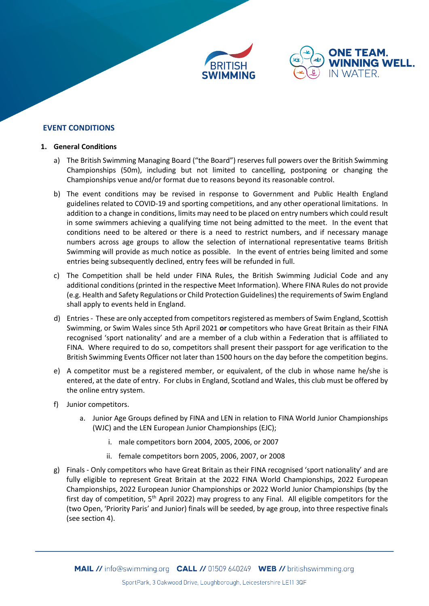



# **EVENT CONDITIONS**

#### **1. General Conditions**

- a) The British Swimming Managing Board ("the Board") reserves full powers over the British Swimming Championships (50m), including but not limited to cancelling, postponing or changing the Championships venue and/or format due to reasons beyond its reasonable control.
- b) The event conditions may be revised in response to Government and Public Health England guidelines related to COVID-19 and sporting competitions, and any other operational limitations. In addition to a change in conditions, limits may need to be placed on entry numbers which could result in some swimmers achieving a qualifying time not being admitted to the meet. In the event that conditions need to be altered or there is a need to restrict numbers, and if necessary manage numbers across age groups to allow the selection of international representative teams British Swimming will provide as much notice as possible. In the event of entries being limited and some entries being subsequently declined, entry fees will be refunded in full.
- c) The Competition shall be held under FINA Rules, the British Swimming Judicial Code and any additional conditions (printed in the respective Meet Information). Where FINA Rules do not provide (e.g. Health and Safety Regulations or Child Protection Guidelines) the requirements of Swim England shall apply to events held in England.
- d) Entries- These are only accepted from competitors registered as members of Swim England, Scottish Swimming, or Swim Wales since 5th April 2021 **or** competitors who have Great Britain as their FINA recognised 'sport nationality' and are a member of a club within a Federation that is affiliated to FINA. Where required to do so, competitors shall present their passport for age verification to the British Swimming Events Officer not later than 1500 hours on the day before the competition begins.
- e) A competitor must be a registered member, or equivalent, of the club in whose name he/she is entered, at the date of entry. For clubs in England, Scotland and Wales, this club must be offered by the online entry system.
- f) Junior competitors.
	- a. Junior Age Groups defined by FINA and LEN in relation to FINA World Junior Championships (WJC) and the LEN European Junior Championships (EJC);
		- i. male competitors born 2004, 2005, 2006, or 2007
		- ii. female competitors born 2005, 2006, 2007, or 2008
- g) Finals Only competitors who have Great Britain as their FINA recognised 'sport nationality' and are fully eligible to represent Great Britain at the 2022 FINA World Championships, 2022 European Championships, 2022 European Junior Championships or 2022 World Junior Championships (by the first day of competition,  $5<sup>th</sup>$  April 2022) may progress to any Final. All eligible competitors for the (two Open, 'Priority Paris' and Junior) finals will be seeded, by age group, into three respective finals (see section 4).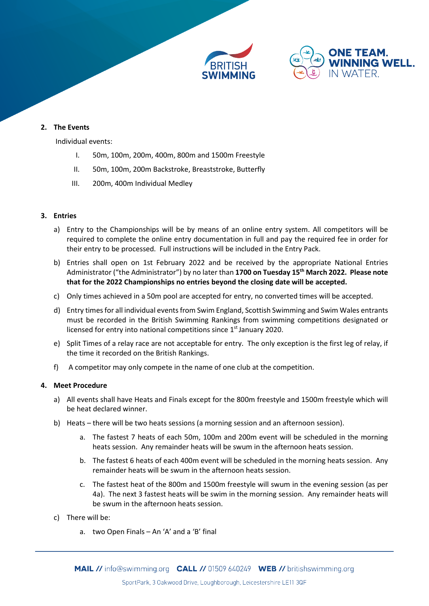



## **2. The Events**

Individual events:

- I. 50m, 100m, 200m, 400m, 800m and 1500m Freestyle
- II. 50m, 100m, 200m Backstroke, Breaststroke, Butterfly
- III. 200m, 400m Individual Medley

#### **3. Entries**

- a) Entry to the Championships will be by means of an online entry system. All competitors will be required to complete the online entry documentation in full and pay the required fee in order for their entry to be processed. Full instructions will be included in the Entry Pack.
- b) Entries shall open on 1st February 2022 and be received by the appropriate National Entries Administrator ("the Administrator") by no later than **1700 on Tuesday 15th March 2022. Please note that for the 2022 Championships no entries beyond the closing date will be accepted.**
- c) Only times achieved in a 50m pool are accepted for entry, no converted times will be accepted.
- d) Entry times for all individual events from Swim England, Scottish Swimming and Swim Wales entrants must be recorded in the British Swimming Rankings from swimming competitions designated or licensed for entry into national competitions since 1<sup>st</sup> January 2020.
- e) Split Times of a relay race are not acceptable for entry. The only exception is the first leg of relay, if the time it recorded on the British Rankings.
- f) A competitor may only compete in the name of one club at the competition.

#### **4. Meet Procedure**

- a) All events shall have Heats and Finals except for the 800m freestyle and 1500m freestyle which will be heat declared winner.
- b) Heats there will be two heats sessions (a morning session and an afternoon session).
	- a. The fastest 7 heats of each 50m, 100m and 200m event will be scheduled in the morning heats session. Any remainder heats will be swum in the afternoon heats session.
	- b. The fastest 6 heats of each 400m event will be scheduled in the morning heats session. Any remainder heats will be swum in the afternoon heats session.
	- c. The fastest heat of the 800m and 1500m freestyle will swum in the evening session (as per 4a). The next 3 fastest heats will be swim in the morning session. Any remainder heats will be swum in the afternoon heats session.
- c) There will be:
	- a. two Open Finals An 'A' and a 'B' final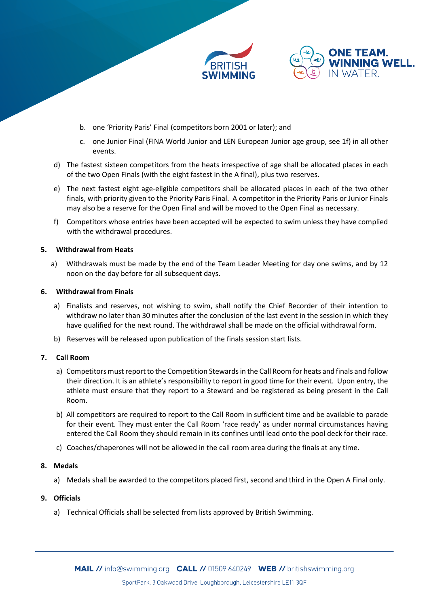



- b. one 'Priority Paris' Final (competitors born 2001 or later); and
- c. one Junior Final (FINA World Junior and LEN European Junior age group, see 1f) in all other events.
- d) The fastest sixteen competitors from the heats irrespective of age shall be allocated places in each of the two Open Finals (with the eight fastest in the A final), plus two reserves.
- e) The next fastest eight age-eligible competitors shall be allocated places in each of the two other finals, with priority given to the Priority Paris Final. A competitor in the Priority Paris or Junior Finals may also be a reserve for the Open Final and will be moved to the Open Final as necessary.
- f) Competitors whose entries have been accepted will be expected to swim unless they have complied with the withdrawal procedures.

### **5. Withdrawal from Heats**

a) Withdrawals must be made by the end of the Team Leader Meeting for day one swims, and by 12 noon on the day before for all subsequent days.

### **6. Withdrawal from Finals**

- a) Finalists and reserves, not wishing to swim, shall notify the Chief Recorder of their intention to withdraw no later than 30 minutes after the conclusion of the last event in the session in which they have qualified for the next round. The withdrawal shall be made on the official withdrawal form.
- b) Reserves will be released upon publication of the finals session start lists.

# **7. Call Room**

- a) Competitors must report to the Competition Stewards in the Call Room for heats and finals and follow their direction. It is an athlete's responsibility to report in good time for their event. Upon entry, the athlete must ensure that they report to a Steward and be registered as being present in the Call Room.
- b) All competitors are required to report to the Call Room in sufficient time and be available to parade for their event. They must enter the Call Room 'race ready' as under normal circumstances having entered the Call Room they should remain in its confines until lead onto the pool deck for their race.
- c) Coaches/chaperones will not be allowed in the call room area during the finals at any time.

### **8. Medals**

a) Medals shall be awarded to the competitors placed first, second and third in the Open A Final only.

# **9. Officials**

a) Technical Officials shall be selected from lists approved by British Swimming.